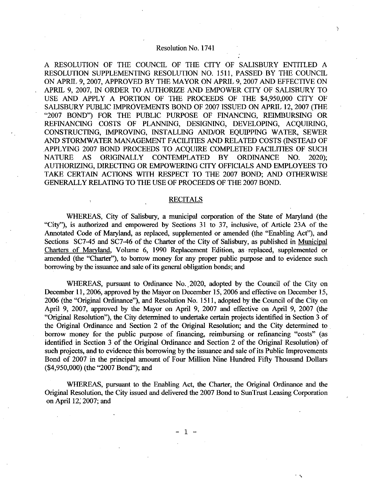A RESOLUTION OF THE COUNCIL OF THE CITY OF SALISBURY ENTITLED A RESOLUTION SUPPLEMENTING RESOLUTION NO 1511 PASSED BY THE COUNCIL ON APRIL 9, 2007, APPROVED BY THE MAYOR ON APRIL 9, 2007 AND EFFECTIVE ON APRIL 9, 2007, IN ORDER TO AUTHORIZE AND EMPOWER CITY OF SALISBURY TO A RESOLUTION OF THE COUNCIL OF THE CITY OF SALISBURY ENTITLED A<br>RESOLUTION SUPPLEMENTING RESOLUTION NO. 1511, PASSED BY THE COUNCIL<br>ON APRIL 9, 2007, APPROVED BY THE MAYOR ON APRIL 9, 2007 AND EFFECTIVE ON<br>APRIL 9, 2007, I SALISBURY PUBLIC IMPROVEMENTS BOND OF 2007 ISSUED ON APRIL 12 2007 THE "2007 BOND") FOR THE PUBLIC PURPOSE OF FINANCING, REIMBURSING OR REFINANCING COSTS OF PLANNING, DESIGNING, DEVELOPING, ACQUIRING, CONSTRUCTING, IMPROVING, INSTALLING AND/OR EQUIPPING WATER, SEWER AND STORMWATER MANAGEMENT FACILITIES AND RELATED COSTS INSTEAD OF APPLYING 2007 BOND PROCEEDS TO ACQUIRE COMPLETED FACILITIES OF SUCH NATURE AS ORIGINALLY CONTEMPLATED BY ORDINANCE NO. 2020): AUTHORIZING DIRECTING OR EMPOWERING CITY OFFICIALS AND EMPLOYEES TO TAKE CERTAIN ACTIONS WITH RESPECT TO THE 2007 BOND: AND OTHERWISE GENERALLY RELATING TO THE USE OF PROCEEDS OF THE 2007 BOND

## RECITALS

WHEREAS, City of Salisbury, a municipal corporation of the State of Maryland (the "City"), is authorized and empowered by Sections 31 to 37, inclusive, of Article 23A of the Annotated Code of Maryland, as replaced, supplemented or amended (the "Enabling Act"), and Sections SC7-45 and SC7-46 of the Charter of the City of Salisbury, as published in Municipal Charters of Maryland, Volume 6, 1990 Replacement Edition, as replaced, supplemented or amended (the "Charter"), to borrow money for any proper public purpose and to evidence such borrowing by the issuance and sale of its general obligation bonds; and

WHEREAS, pursuant to Ordinance No. 2020, adopted by the Council of the City on December 11, 2006, approved by the Mayor on December 15, 2006 and effective on December 15, 2006 (the "Original Ordinance"), and Resolution No. 1511, adopted by the Council of the City on April 9, 2007, approved by the Mayor on April 9, 2007 and effective on April 9, 2007 (the "Original Resolution"), the City determined to undertake certain projects identified in Section 3 of the Original Ordinance and Section 2 of the Original Resolution; and the City determined to borrow money for the public purpose of financing, reimbursing or refinancing "costs" (as identified in Section 3 of the Original Ordinance and Section 2 of the Original Resolution) of such projects, and to evidence this borrowing by the issuance and sale of its Public Improvements Bond of 2007 in the principal amount of Four Million Nine Hundred Fifty Thousand Dollars the Original<br>borrow mon<br>identified in<br>such projects<br>Bond of 200<br>(\$4,950,000)<br>WHE (\$4,950,000) (the "2007 Bond"); and

WHEREAS, pursuant to the Enabling Act, the Charter, the Original Ordinance and the Original Resolution the City issued and delivered the 2007 Bond to SunTrust Leasing Corporation on April 12, 2007; and

4

5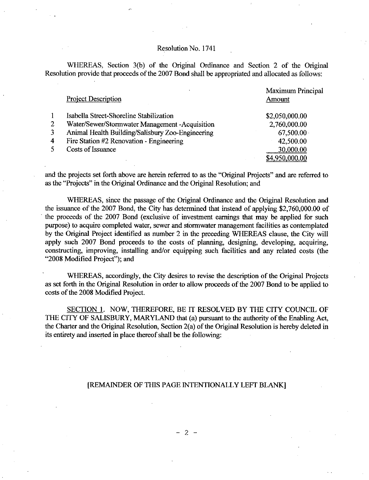WHEREAS, Section 3(b) of the Original Ordinance and Section 2 of the Original Resolution provide that proceeds of the 2007 Bond shall be appropriated and allocated as follows:

|              | <b>Project Description</b>                       | Maximum Principal<br>Amount |
|--------------|--------------------------------------------------|-----------------------------|
|              |                                                  |                             |
| $\mathbf{1}$ | Isabella Street-Shoreline Stabilization          | \$2,050,000.00              |
| 2            | Water/Sewer/Stormwater Management -Acquisition   | 2,760,000.00                |
| 3            | Animal Health Building/Salisbury Zoo-Engineering | $67,500.00 \cdot$           |
| 4            | Fire Station #2 Renovation - Engineering         | 42,500.00                   |
| 5.           | Costs of Issuance                                | 30,000.00                   |
|              |                                                  | \$4,950,000.00              |

and the projects set forth above are herein referred to as the "Original Projects" and are referred to as the "Projects" in the Original Ordinance and the Original Resolution; and

WHEREAS, since the passage of the Original Ordinance and the Original Resolution and the issuance of the 2007 Bond, the City has determined that instead of applying \$2,760,000.00 of  $\frac{34,950,000.00}{1}$ <br>and the projects set forth above are herein referred to as the "Original Projects" and are referred to<br>as the "Projects" in the Original Ordinance and the Original Resolution; and<br>WHEREAS, since the the proceeds of the <sup>2007</sup> Bond exclusive of investment earnings that may be applied for such purpose) to acquire completed water, sewer and stormwater management facilities as contemplated by the Original Project identified as number 2 in the preceding WHEREAS clause, the City will apply such 2007 Bond proceeds to the costs of planning, designing, developing, acquiring, constructing, improving, installing and/or equipping such facilities and any related costs (the "2008 Modified Project"); and

WHEREAS, accordingly, the City desires to revise the description of the Original Projects as set forth in the Original Resolution in order to allow proceeds of the 2007 Bond to be applied to costs of the 2008 Modified Project.

SECTION 1. NOW, THEREFORE, BE IT RESOLVED BY THE CITY COUNCIL OF THE CITY OF SALISBURY, MARYLAND that (a) pursuant to the authority of the Enabling Act, the Charter and the Original Resolution, Section  $2(a)$  of the Original Resolution is hereby deleted in its entirety and inserted in place thereof shall be the following:

# [REMAINDER OF THIS PAGE INTENTIONALLY LEFT BLANK]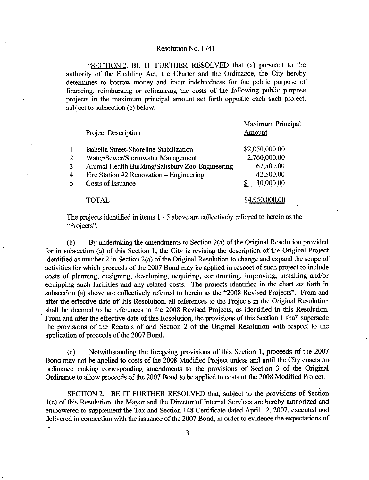"SECTION 2. BE IT FURTHER RESOLVED that (a) pursuant to the authority of the Enabling Act, the Charter and the Ordinance, the City hereby determines to borrow money and incur indebtedness for the public purpose of financing reimbursing or refinancing the costs of the following public purpose projects in the maximum principal amount set forth opposite each such project subject to subsection (c) below:

|              | <b>Project Description</b>                       | Maximum Principal |  |
|--------------|--------------------------------------------------|-------------------|--|
|              |                                                  | Amount            |  |
| $\mathbf{1}$ | Isabella Street-Shoreline Stabilization          | \$2,050,000.00    |  |
| 2            | Water/Sewer/Stormwater Management                | 2,760,000.00      |  |
| 3            | Animal Health Building/Salisbury Zoo-Engineering | 67,500.00         |  |
| 4            | Fire Station #2 Renovation – Engineering         | 42,500.00         |  |
| 5            | Costs of Issuance                                | $30,000.00 \cdot$ |  |
|              | <b>TOTAL</b>                                     | \$4,950,000.00    |  |

The projects identified in items  $1 - 5$  above are collectively referred to herein as the "Projects".

(b) By undertaking the amendments to Section  $2(a)$  of the Original Resolution provided for in subsection (a) of this Section 1, the City is revising the description of the Original Project<br>identified as number 2 in Section 2(a) of the Original Resolution to change and expand the scope of<br>activities for whic activities for which proceeds of the 2007 Bond may be applied in respect of such project to include costs of planning, designing, developing, acquiring, constructing, improving, installing and/or equipping such facilities and any related costs. The projects identified in the chart set forth in subsection (a) above are collectively referred to herein as the "2008 Revised Projects". From and after the effective date of this Resolution all references to the Projects in the Original Resolution shall be deemed to be references to the 2008 Revised Projects, as identified in this Resolution. From and after the effective date of this Resolution, the provisions of this Section 1 shall supersede the provisions of the Recitals of and Section 2 of the Original Resolution with respect to the application of proceeds of the 2007 Bond.

(c) Notwithstanding the foregoing provisions of this Section 1, proceeds of the 2007 Bond may not be applied to costs of the <sup>2008</sup> Modified Project unless and until the City enacts an ordinance making corresponding amendments to the provisions of Section <sup>3</sup> of the Original Ordinance to allow proceeds of the 2007 Bond to be applied to costs of the 2008 Modified Project.

SECTION 2. BE IT FURTHER RESOLVED that, subject to the provisions of Section 1(c) of this Resolution, the Mayor and the Director of Internal Services are hereby authorized and empowered to supplement the Tax and Section 148 Certificate dated April 12, 2007, executed and delivered in connection with the issuance of the 2007 Bond, in order to evidence the expectations of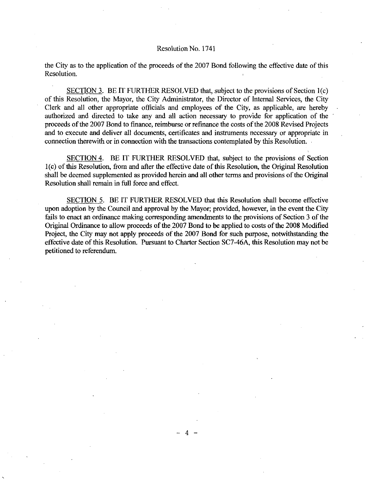the City as to the application of the proceeds of the 2007 Bond following the effective date of this Resolution

SECTION 3. BE IT FURTHER RESOLVED that, subject to the provisions of Section  $l(c)$ of this Resolution, the Mayor, the City Administrator, the Director of Internal Services, the City Clerk and all other appropriate officials and employees of the City, as applicable, are hereby authorized and directed to take any and all action necessary to provide for application of the proceeds of the 2007 Bond to finance, reimburse or refinance the costs of the 2008 Revised Projects and to execute and deliver all documents, certificates and instruments necessary or appropriate in connection therewith or in connection with the transactions contemplated by this Resolution.

SECTION 4. BE IT FURTHER RESOLVED that, subject to the provisions of Section  $1(c)$  of this Resolution, from and after the effective date of this Resolution, the Original Resolution shall be deemed supplemented as provided herein and all other terms and provisions ofthe Original Resolution shall remain in full force and effect

SECTION 5. BE IT FURTHER RESOLVED that this Resolution shall become effective upon adoption by the Council and approval by the Mayor; provided, however, in the event the City fails to enact an ordinance making corresponding amendments to the provisions of Section <sup>3</sup> of the Original Ordinance to allow proceeds of the 2007 Bond to be applied to costs ofthe <sup>2008</sup> Modified Project, the City may not apply proceeds of the 2007 Bond for such purpose, notwithstanding the effective date of this Resolution. Pursuant to Charter Section SC7-46A, this Resolution may not be petitioned to referendum